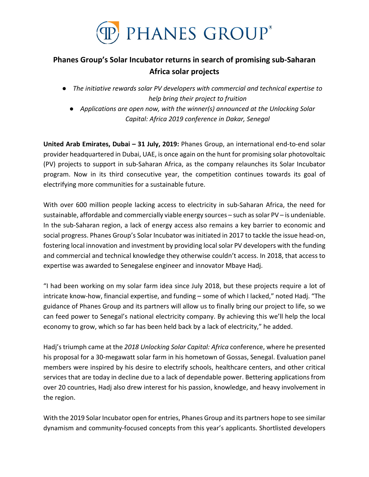

# **Phanes Group's Solar Incubator returns in search of promising sub-Saharan Africa solar projects**

- *The initiative rewards solar PV developers with commercial and technical expertise to help bring their project to fruition*
	- *Applications are open now, with the winner(s) announced at the Unlocking Solar Capital: Africa 2019 conference in Dakar, Senegal*

**United Arab Emirates, Dubai – 31 July, 2019:** Phanes Group, an international end-to-end solar provider headquartered in Dubai, UAE, is once again on the hunt for promising solar photovoltaic (PV) projects to support in sub-Saharan Africa, as the company relaunches its Solar Incubator program. Now in its third consecutive year, the competition continues towards its goal of electrifying more communities for a sustainable future.

With over 600 million people lacking access to electricity in sub-Saharan Africa, the need for sustainable, affordable and commercially viable energy sources – such as solar PV – is undeniable. In the sub-Saharan region, a lack of energy access also remains a key barrier to economic and social progress. Phanes Group's Solar Incubator was initiated in 2017 to tackle the issue head-on, fostering local innovation and investment by providing local solar PV developers with the funding and commercial and technical knowledge they otherwise couldn't access. In 2018, that access to expertise was awarded to Senegalese engineer and innovator Mbaye Hadj.

"I had been working on my solar farm idea since July 2018, but these projects require a lot of intricate know-how, financial expertise, and funding – some of which I lacked," noted Hadj. "The guidance of Phanes Group and its partners will allow us to finally bring our project to life, so we can feed power to Senegal's national electricity company. By achieving this we'll help the local economy to grow, which so far has been held back by a lack of electricity," he added.

Hadj's triumph came at the *2018 Unlocking Solar Capital: Africa* conference, where he presented his proposal for a 30-megawatt solar farm in his hometown of Gossas, Senegal. Evaluation panel members were inspired by his desire to electrify schools, healthcare centers, and other critical services that are today in decline due to a lack of dependable power. Bettering applications from over 20 countries, Hadj also drew interest for his passion, knowledge, and heavy involvement in the region.

With the 2019 Solar Incubator open for entries, Phanes Group and its partners hope to see similar dynamism and community-focused concepts from this year's applicants. Shortlisted developers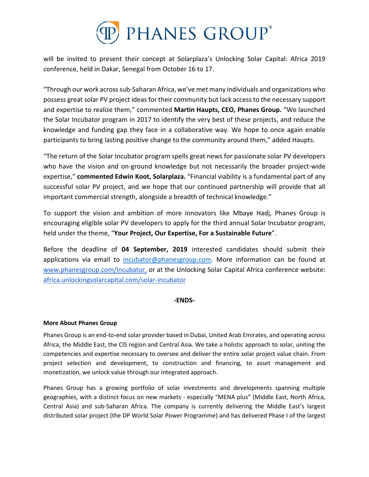

will be invited to present their concept at Solarplaza's Unlocking Solar Capital: Africa 2019 conference, held in Dakar, Senegal from October 16 to 17.

"Through our work across sub-Saharan Africa, we've met many individuals and organizations who possess great solar PV project ideas for their community but lack access to the necessary support and expertise to realize them," commented **Martin Haupts, CEO, Phanes Group.** "We launched the Solar Incubator program in 2017 to identify the very best of these projects, and reduce the knowledge and funding gap they face in a collaborative way. We hope to once again enable participants to bring lasting positive change to the community around them," added Haupts.

"The return of the Solar Incubator program spells great news for passionate solar PV developers who have the vision and on-ground knowledge but not necessarily the broader project-wide expertise," **commented Edwin Koot, Solarplaza.** "Financial viability is a fundamental part of any successful solar PV project, and we hope that our continued partnership will provide that all important commercial strength, alongside a breadth of technical knowledge."

To support the vision and ambition of more innovators like Mbaye Hadj, Phanes Group is encouraging eligible solar PV developers to apply for the third annual Solar Incubator program, held under the theme, "**Your Project, Our Expertise, For a Sustainable Future**".

Before the deadline of **04 September, 2019** interested candidates should submit their applications via email to [incubator@phanesgroup.com.](mailto:incubator@phanesgroup.com) More information can be found at [www.phanesgroup.com/incubator,](http://www.phanesgroup.com/incubator) or at the Unlocking Solar Capital Africa conference website: [africa.unlockingsolarcapital.com/solar-incubator](http://africa.unlockingsolarcapital.com/solar-incubator)

#### **-ENDS-**

# **More About Phanes Group**

Phanes Group is an end-to-end solar provider based in Dubai, United Arab Emirates, and operating across Africa, the Middle East, the CIS region and Central Asia. We take a holistic approach to solar, uniting the competencies and expertise necessary to oversee and deliver the entire solar project value chain. From project selection and development, to construction and financing, to asset management and monetization, we unlock value through our integrated approach.

Phanes Group has a growing portfolio of solar investments and developments spanning multiple geographies, with a distinct focus on new markets - especially "MENA plus" (Middle East, North Africa, Central Asia) and sub-Saharan Africa. The company is currently delivering the Middle East's largest distributed solar project (the DP World Solar Power Programme) and has delivered Phase I of the largest